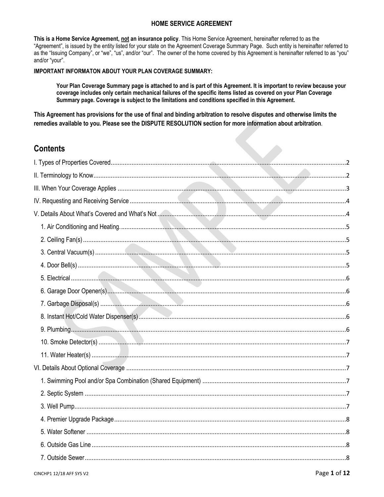## **HOME SERVICE AGREEMENT**

This is a Home Service Agreement, not an insurance policy. This Home Service Agreement, hereinafter referred to as the "Agreement", is issued by the entity listed for your state on the Agreement Coverage Summary Page. Such entity is hereinafter referred to as the "Issuing Company", or "we", "us", and/or "our". The owner of the home covered by this Agreement is hereinafter referred to as "you" and/or "your".

## **IMPORTANT INFORMATON ABOUT YOUR PLAN COVERAGE SUMMARY:**

Your Plan Coverage Summary page is attached to and is part of this Agreement. It is important to review because your coverage includes only certain mechanical failures of the specific items listed as covered on your Plan Coverage Summary page. Coverage is subject to the limitations and conditions specified in this Agreement.

This Agreement has provisions for the use of final and binding arbitration to resolve disputes and otherwise limits the remedies available to you. Please see the DISPUTE RESOLUTION section for more information about arbitration.

# **Contents**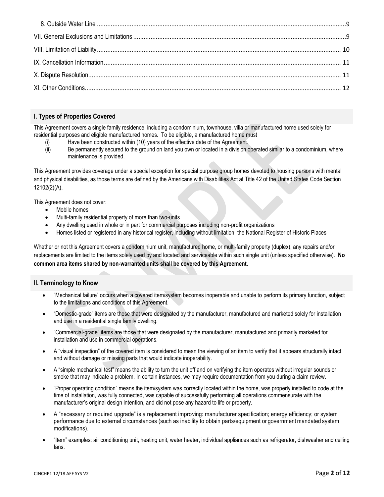# <span id="page-1-0"></span>**I. Types of Properties Covered**

This Agreement covers a single family residence, including a condominium, townhouse, villa or manufactured home used solely for residential purposes and eligible manufactured homes. To be eligible, a manufactured home must

- Have been constructed within (10) years of the effective date of the Agreement.
- (ii) Be permanently secured to the ground on land you own or located in a division operated similar to a condominium, where maintenance is provided.

This Agreement provides coverage under a special exception for special purpose group homes devoted to housing persons with mental and physical disabilities, as those terms are defined by the Americans with Disabilities Act at Title 42 of the United States Code Section 12102(2)(A).

This Agreement does not cover:

- Mobile homes
- Multi-family residential property of more than two-units
- Any dwelling used in whole or in part for commercial purposes including non-profit organizations
- Homes listed or registered in any historical register, including without limitation the National Register of Historic Places

Whether or not this Agreement covers a condominium unit, manufactured home, or multi-family property (duplex), any repairs and/or replacements are limited to the items solely used by and located and serviceable within such single unit (unless specified otherwise). **No common area items shared by non-warranted units shall be covered by this Agreement.**

## <span id="page-1-1"></span>**II. Terminology to Know**

- "Mechanical failure" occurs when a covered item/system becomes inoperable and unable to perform its primary function, subject to the limitations and conditions of this Agreement.
- "Domestic-grade" items are those that were designated by the manufacturer, manufactured and marketed solely for installation and use in a residential single family dwelling.
- "Commercial-grade" items are those that were designated by the manufacturer, manufactured and primarily marketed for installation and use in commercial operations.
- A "visual inspection" of the covered item is considered to mean the viewing of an item to verify that it appears structurally intact and without damage or missing parts that would indicate inoperability.
- A "simple mechanical test" means the ability to turn the unit off and on verifying the item operates without irregular sounds or smoke that may indicate a problem. In certain instances, we may require documentation from you during a claim review.
- "Proper operating condition" means the item/system was correctly located within the home, was properly installed to code at the time of installation, was fully connected, was capable of successfully performing all operations commensurate with the manufacturer's original design intention, and did not pose any hazard to life or property.
- A "necessary or required upgrade" is a replacement improving: manufacturer specification; energy efficiency; or system performance due to external circumstances (such as inability to obtain parts/equipment or government mandated system modifications).
- "Item" examples: air conditioning unit, heating unit, water heater, individual appliances such as refrigerator, dishwasher and ceiling fans.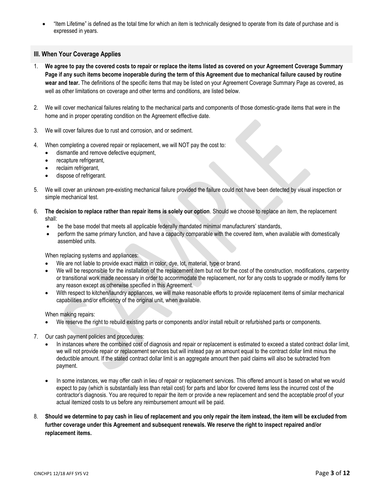"Item Lifetime" is defined as the total time for which an item is technically designed to operate from its date of purchase and is expressed in years.

## <span id="page-2-0"></span>**III. When Your Coverage Applies**

- 1. **We agree to pay the covered costs to repair or replace the items listed as covered on your Agreement Coverage Summary Page if any such items become inoperable during the term of this Agreement due to mechanical failure caused by routine wear and tear.** The definitions of the specific items that may be listed on your Agreement Coverage Summary Page as covered, as well as other limitations on coverage and other terms and conditions, are listed below.
- 2. We will cover mechanical failures relating to the mechanical parts and components of those domestic-grade items that were in the home and in proper operating condition on the Agreement effective date.
- 3. We will cover failures due to rust and corrosion, and or sediment.
- 4. When completing a covered repair or replacement, we will NOT pay the cost to:
	- dismantle and remove defective equipment,
	- recapture refrigerant,
	- reclaim refrigerant,
	- dispose of refrigerant.
- 5. We will cover an unknown pre-existing mechanical failure provided the failure could not have been detected by visual inspection or simple mechanical test.
- 6. **The decision to replace rather than repair items is solely our option**. Should we choose to replace an item, the replacement shall:
	- be the base model that meets all applicable federally mandated minimal manufacturers' standards,
	- perform the same primary function, and have a capacity comparable with the covered item, when available with domestically assembled units.

When replacing systems and appliances:

- We are not liable to provide exact match in color, dye, lot, material, type or brand.
- We will be responsible for the installation of the replacement item but not for the cost of the construction, modifications, carpentry or transitional work made necessary in order to accommodate the replacement, nor for any costs to upgrade or modify items for any reason except as otherwise specified in this Agreement.
- With respect to kitchen/laundry appliances, we will make reasonable efforts to provide replacement items of similar mechanical capabilities and/or efficiency of the original unit, when available.

When making repairs:

- We reserve the right to rebuild existing parts or components and/or install rebuilt or refurbished parts or components.
- 7. Our cash payment policies and procedures:
	- In instances where the combined cost of diagnosis and repair or replacement is estimated to exceed a stated contract dollar limit, we will not provide repair or replacement services but will instead pay an amount equal to the contract dollar limit minus the deductible amount. If the stated contract dollar limit is an aggregate amount then paid claims will also be subtracted from payment.
	- In some instances, we may offer cash in lieu of repair or replacement services. This offered amount is based on what we would expect to pay (which is substantially less than retail cost) for parts and labor for covered items less the incurred cost of the contractor's diagnosis. You are required to repair the item or provide a new replacement and send the acceptable proof of your actual itemized costs to us before any reimbursement amount will be paid.
- 8. **Should we determine to pay cash in lieu of replacement and you only repair the item instead, the item will be excluded from further coverage under this Agreement and subsequent renewals. We reserve the right to inspect repaired and/or replacement items.**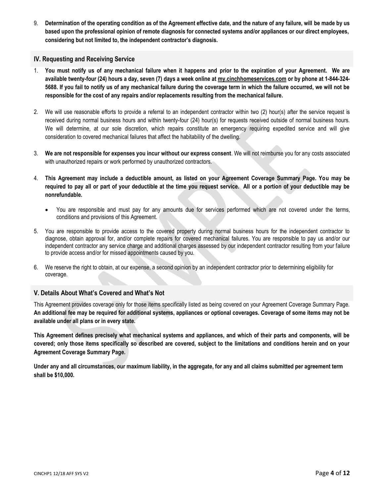9. **Determination of the operating condition as of the Agreement effective date, and the nature of any failure, will be made by us based upon the professional opinion of remote diagnosis for connected systems and/or appliances or our direct employees, considering but not limited to, the independent contractor's diagnosis.**

## <span id="page-3-0"></span>**IV. Requesting and Receiving Service**

- 1. **You must notify us of any mechanical failure when it happens and prior to the expiration of your Agreement. We are available twenty-four (24) hours a day, seven (7) days a week online at [my.cinchhomeservices.com](http://www.x.com/) or by phone at 1-844-324- 5688. If you fail to notify us of any mechanical failure during the coverage term in which the failure occurred, we will not be responsible for the cost of any repairs and/or replacements resulting from the mechanical failure.**
- 2. We will use reasonable efforts to provide a referral to an independent contractor within two (2) hour(s) after the service request is received during normal business hours and within twenty-four (24) hour(s) for requests received outside of normal business hours. We will determine, at our sole discretion, which repairs constitute an emergency requiring expedited service and will give consideration to covered mechanical failures that affect the habitability of the dwelling.
- 3. **We are not responsible for expenses you incur without our express consent**. We will not reimburse you for any costs associated with unauthorized repairs or work performed by unauthorized contractors.
- 4. **This Agreement may include a deductible amount, as listed on your Agreement Coverage Summary Page. You may be required to pay all or part of your deductible at the time you request service. All or a portion of your deductible may be nonrefundable.** 
	- You are responsible and must pay for any amounts due for services performed which are not covered under the terms, conditions and provisions of this Agreement.
- 5. You are responsible to provide access to the covered property during normal business hours for the independent contractor to diagnose, obtain approval for, and/or complete repairs for covered mechanical failures. You are responsible to pay us and/or our independent contractor any service charge and additional charges assessed by our independent contractor resulting from your failure to provide access and/or for missed appointments caused by you.
- 6. We reserve the right to obtain, at our expense, a second opinion by an independent contractor prior to determining eligibility for coverage.

## <span id="page-3-1"></span>**V. Details About What's Covered and What's Not**

This Agreement provides coverage only for those items specifically listed as being covered on your Agreement Coverage Summary Page. **An additional fee may be required for additional systems, appliances or optional coverages. Coverage of some items may not be available under all plans or in every state.**

**This Agreement defines precisely what mechanical systems and appliances, and which of their parts and components, will be covered; only those items specifically so described are covered, subject to the limitations and conditions herein and on your Agreement Coverage Summary Page.** 

**Under any and all circumstances, our maximum liability, in the aggregate, for any and all claims submitted per agreement term shall be \$10,000.**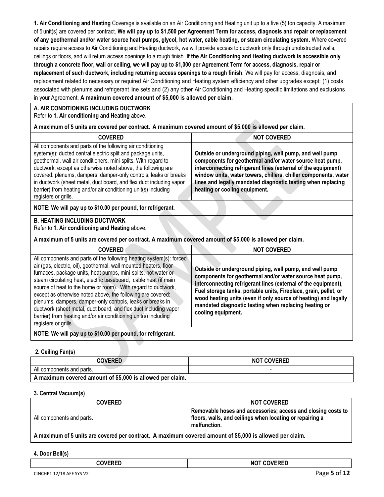<span id="page-4-0"></span>**1. Air Conditioning and Heating** Coverage is available on an Air Conditioning and Heating unit up to a five (5) ton capacity. A maximum of 5 unit(s) are covered per contract. **We will pay up to \$1,500 per Agreement Term for access, diagnosis and repair or replacement of any geothermal and/or water source heat pumps, glycol, hot water, cable heating, or steam circulating system.** Where covered repairs require access to Air Conditioning and Heating ductwork, we will provide access to ductwork only through unobstructed walls, ceilings or floors, and will return access openings to a rough finish. **If the Air Conditioning and Heating ductwork is accessible only through a concrete floor, wall or ceiling, we will pay up to \$1,000 per Agreement Term for access, diagnosis, repair or replacement of such ductwork, including returning access openings to a rough finish.** We will pay for access, diagnosis, and replacement related to necessary or required Air Conditioning and Heating system efficiency and other upgrades except: (1) costs associated with plenums and refrigerant line sets and (2) any other Air Conditioning and Heating specific limitations and exclusions in your Agreement. **A maximum covered amount of \$5,000 is allowed per claim.** 

## **A. AIR CONDITIONING INCLUDING DUCTWORK**

Refer to **1. Air conditioning and Heating** above.

**A maximum of 5 units are covered per contract. A maximum covered amount of \$5,000 is allowed per claim.** 

| <b>COVERED</b>                                                                                                                                                                                                                                                                                                                                                                                                                                                                                                                                                                                                                                                                                                | <b>NOT COVERED</b>                                                                                                                                                                                                                                                                                                                                                                    |
|---------------------------------------------------------------------------------------------------------------------------------------------------------------------------------------------------------------------------------------------------------------------------------------------------------------------------------------------------------------------------------------------------------------------------------------------------------------------------------------------------------------------------------------------------------------------------------------------------------------------------------------------------------------------------------------------------------------|---------------------------------------------------------------------------------------------------------------------------------------------------------------------------------------------------------------------------------------------------------------------------------------------------------------------------------------------------------------------------------------|
| All components and parts of the following air conditioning<br>system(s): ducted central electric split and package units,<br>geothermal, wall air conditioners, mini-splits. With regard to<br>ductwork, except as otherwise noted above, the following are<br>covered: plenums, dampers, damper-only controls, leaks or breaks<br>in ductwork (sheet metal, duct board, and flex duct including vapor<br>barrier) from heating and/or air conditioning unit(s) including<br>registers or grills.                                                                                                                                                                                                             | Outside or underground piping, well pump, and well pump<br>components for geothermal and/or water source heat pump,<br>interconnecting refrigerant lines (external of the equipment)<br>window units, water towers, chillers, chiller components, water<br>lines and legally mandated diagnostic testing when replacing<br>heating or cooling equipment.                              |
| NOTE: We will pay up to \$10.00 per pound, for refrigerant.                                                                                                                                                                                                                                                                                                                                                                                                                                                                                                                                                                                                                                                   |                                                                                                                                                                                                                                                                                                                                                                                       |
| <b>B. HEATING INCLUDING DUCTWORK</b><br>Refer to 1. Air conditioning and Heating above.                                                                                                                                                                                                                                                                                                                                                                                                                                                                                                                                                                                                                       |                                                                                                                                                                                                                                                                                                                                                                                       |
| A maximum of 5 units are covered per contract. A maximum covered amount of \$5,000 is allowed per claim.                                                                                                                                                                                                                                                                                                                                                                                                                                                                                                                                                                                                      |                                                                                                                                                                                                                                                                                                                                                                                       |
| <b>COVERED</b>                                                                                                                                                                                                                                                                                                                                                                                                                                                                                                                                                                                                                                                                                                | <b>NOT COVERED</b>                                                                                                                                                                                                                                                                                                                                                                    |
| All components and parts of the following heating system(s): forced<br>air (gas, electric, oil), geothermal, wall mounted heaters, floor<br>furnaces, package units, heat pumps, mini-splits, hot water or<br>steam circulating heat, electric baseboard, cable heat (if main<br>source of heat to the home or room). With regard to ductwork,<br>except as otherwise noted above, the following are covered:<br>plenums, dampers, damper-only controls, leaks or breaks in<br>the contribution of the contribution of the contribution of the contribution of the contribution of the contribution of the contribution of the contribution of the contribution of the contribution of the contribution of th | Outside or underground piping, well pump, and well pump<br>components for geothermal and/or water source heat pump,<br>interconnecting refrigerant lines (external of the equipment),<br>Fuel storage tanks, portable units, Fireplace, grain, pellet, or<br>wood heating units (even if only source of heating) and legally<br>mandated diagnostic testing when replacing heating or |

**NOTE: We will pay up to \$10.00 per pound, for refrigerant.**

ductwork (sheet metal, duct board, and flex duct including vapor barrier) from heating and/or air conditioning unit(s) including

## <span id="page-4-1"></span>**2. Ceiling Fan(s)**

registers or grills.

| <b>COVERED</b>                                            | <b>NOT COVERED</b> |
|-----------------------------------------------------------|--------------------|
| All components and parts.                                 |                    |
| A maximum covered amount of \$5,000 is allowed per claim. |                    |

**cooling equipment.**

## <span id="page-4-2"></span>**3. Central Vacuum(s)**

| floors, walls, and ceilings when locating or repairing a<br>All components and parts. | <b>COVERED</b> | <b>NOT COVERED</b>                                                           |
|---------------------------------------------------------------------------------------|----------------|------------------------------------------------------------------------------|
|                                                                                       |                | Removable hoses and accessories; access and closing costs to<br>malfunction. |

**A maximum of 5 units are covered per contract. A maximum covered amount of \$5,000 is allowed per claim.**

## <span id="page-4-3"></span>**4. Door Bell(s)**

| <b>COVERED</b> | <b>NOT COVERED</b> |
|----------------|--------------------|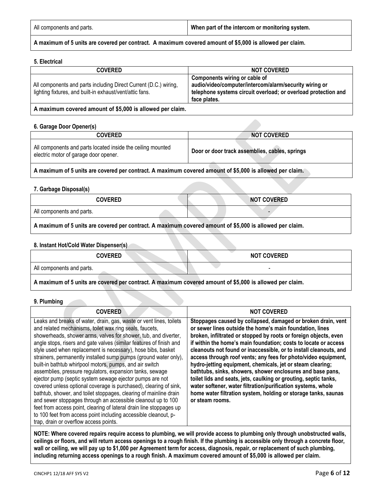| All components and parts. | When part of the intercom or monitoring system. |
|---------------------------|-------------------------------------------------|
|---------------------------|-------------------------------------------------|

**A maximum of 5 units are covered per contract. A maximum covered amount of \$5,000 is allowed per claim.**

## <span id="page-5-0"></span>**5. Electrical**

| <b>COVERED</b>                                                                                                               | <b>NOT COVERED</b>                                                                                                                                                        |
|------------------------------------------------------------------------------------------------------------------------------|---------------------------------------------------------------------------------------------------------------------------------------------------------------------------|
| All components and parts including Direct Current (D.C.) wiring,<br>lighting fixtures, and built-in exhaust/vent/attic fans. | Components wiring or cable of<br>audio/video/computer/intercom/alarm/security wiring or<br>telephone systems circuit overload; or overload protection and<br>face plates. |
|                                                                                                                              |                                                                                                                                                                           |

#### **A maximum covered amount of \$5,000 is allowed per claim.**

#### <span id="page-5-1"></span>**6. Garage Door Opener(s)**

| <b>COVERED</b>                                                                                       | <b>NOT COVERED</b>                             |
|------------------------------------------------------------------------------------------------------|------------------------------------------------|
| All components and parts located inside the ceiling mounted<br>electric motor of garage door opener. | Door or door track assemblies, cables, springs |
|                                                                                                      |                                                |

**A maximum of 5 units are covered per contract. A maximum covered amount of \$5,000 is allowed per claim.**

## <span id="page-5-2"></span>**7. Garbage Disposal(s)**

| <b>COVERED</b>                                                                                           | <b>NOT COVERED</b> |
|----------------------------------------------------------------------------------------------------------|--------------------|
| All components and parts.                                                                                |                    |
| A maximum of 5 units are covered per contract. A maximum covered amount of \$5,000 is allowed per claim. |                    |

## <span id="page-5-3"></span>**8. Instant Hot/Cold Water Dispenser(s)**

| <b>COVERED</b>                                                                                           | <b>NOT COVERED</b> |
|----------------------------------------------------------------------------------------------------------|--------------------|
| All components and parts.                                                                                |                    |
| A maximum of 5 units are covered per contract. A maximum covered amount of \$5,000 is allowed per claim. |                    |

#### <span id="page-5-4"></span>**9. Plumbing**

| <b>COVERED</b>                                                                                                                                                                                                                                                                                                                                                                                                                                                                                                                                                                                                                                                                                                                                                                                                                                                                                                                                                                                 | <b>NOT COVERED</b>                                                                                                                                                                                                                                                                                                                                                                                                                                                                                                                                                                                                                                                                                                                                          |
|------------------------------------------------------------------------------------------------------------------------------------------------------------------------------------------------------------------------------------------------------------------------------------------------------------------------------------------------------------------------------------------------------------------------------------------------------------------------------------------------------------------------------------------------------------------------------------------------------------------------------------------------------------------------------------------------------------------------------------------------------------------------------------------------------------------------------------------------------------------------------------------------------------------------------------------------------------------------------------------------|-------------------------------------------------------------------------------------------------------------------------------------------------------------------------------------------------------------------------------------------------------------------------------------------------------------------------------------------------------------------------------------------------------------------------------------------------------------------------------------------------------------------------------------------------------------------------------------------------------------------------------------------------------------------------------------------------------------------------------------------------------------|
| Leaks and breaks of water, drain, gas, waste or vent lines, toilets<br>and related mechanisms, toilet wax ring seals, faucets,<br>showerheads, shower arms, valves for shower, tub, and diverter,<br>angle stops, risers and gate valves (similar features of finish and<br>style used when replacement is necessary), hose bibs, basket<br>strainers, permanently installed sump pumps (ground water only),<br>built-in bathtub whirlpool motors, pumps, and air switch<br>assemblies, pressure regulators, expansion tanks, sewage<br>ejector pump (septic system sewage ejector pumps are not<br>covered unless optional coverage is purchased), clearing of sink,<br>bathtub, shower, and toilet stoppages, clearing of mainline drain<br>and sewer stoppages through an accessible cleanout up to 100<br>feet from access point, clearing of lateral drain line stoppages up<br>to 100 feet from access point including accessible cleanout, p-<br>trap, drain or overflow access points. | Stoppages caused by collapsed, damaged or broken drain, vent<br>or sewer lines outside the home's main foundation, lines<br>broken, infiltrated or stopped by roots or foreign objects, even<br>if within the home's main foundation; costs to locate or access<br>cleanouts not found or inaccessible, or to install cleanouts, and<br>access through roof vents; any fees for photo/video equipment,<br>hydro-jetting equipment, chemicals, jet or steam clearing;<br>bathtubs, sinks, showers, shower enclosures and base pans,<br>toilet lids and seats, jets, caulking or grouting, septic tanks,<br>water softener, water filtration/purification systems, whole<br>home water filtration system, holding or storage tanks, saunas<br>or steam rooms. |

**NOTE: Where covered repairs require access to plumbing, we will provide access to plumbing only through unobstructed walls, ceilings or floors, and will return access openings to a rough finish. If the plumbing is accessible only through a concrete floor, wall or ceiling, we will pay up to \$1,000 per Agreement term for access, diagnosis, repair, or replacement of such plumbing, including returning access openings to a rough finish. A maximum covered amount of \$5,000 is allowed per claim.**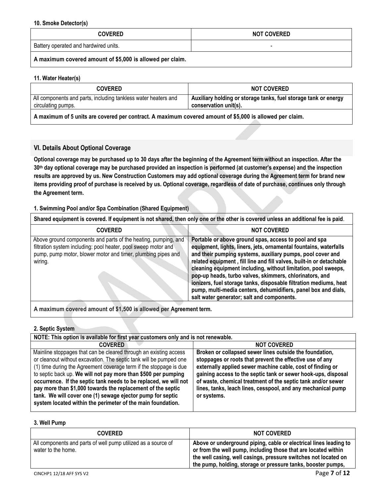#### <span id="page-6-0"></span>**10. Smoke Detector(s)**

| <b>COVERED</b>                                            | <b>NOT COVERED</b> |
|-----------------------------------------------------------|--------------------|
| Battery operated and hardwired units.                     |                    |
| A maximum covered amount of \$5,000 is allowed per claim. |                    |

## <span id="page-6-1"></span>**11. Water Heater(s)**

| <b>COVERED</b>                                                 | <b>NOT COVERED</b>                                              |
|----------------------------------------------------------------|-----------------------------------------------------------------|
| All components and parts, including tankless water heaters and | Auxiliary holding or storage tanks, fuel storage tank or energy |
| circulating pumps.                                             | conservation unit(s).                                           |

**A maximum of 5 units are covered per contract. A maximum covered amount of \$5,000 is allowed per claim.**

## <span id="page-6-2"></span>**VI. Details About Optional Coverage**

**Optional coverage may be purchased up to 30 days after the beginning of the Agreement term without an inspection. After the 30th day optional coverage may be purchased provided an inspection is performed (at customer's expense) and the inspection results are approved by us. New Construction Customers may add optional coverage during the Agreement term for brand new items providing proof of purchase is received by us. Optional coverage, regardless of date of purchase, continues only through the Agreement term.**

## <span id="page-6-3"></span>**1. Swimming Pool and/or Spa Combination (Shared Equipment)**

**Shared equipment is covered. If equipment is not shared, then only one or the other is covered unless an additional fee is paid**.

| <b>COVERED</b>                                                                                                                                                                                              | <b>NOT COVERED</b>                                                                                                                                                                                                                                                                                                                                                                                                                                                                                                                                                                 |
|-------------------------------------------------------------------------------------------------------------------------------------------------------------------------------------------------------------|------------------------------------------------------------------------------------------------------------------------------------------------------------------------------------------------------------------------------------------------------------------------------------------------------------------------------------------------------------------------------------------------------------------------------------------------------------------------------------------------------------------------------------------------------------------------------------|
| Above ground components and parts of the heating, pumping, and<br>filtration system including: pool heater, pool sweep motor and<br>pump, pump motor, blower motor and timer, plumbing pipes and<br>wiring. | Portable or above ground spas, access to pool and spa<br>equipment, lights, liners, jets, ornamental fountains, waterfalls<br>and their pumping systems, auxiliary pumps, pool cover and<br>related equipment, fill line and fill valves, built-in or detachable<br>cleaning equipment including, without limitation, pool sweeps,<br>pop-up heads, turbo valves, skimmers, chlorinators, and<br>ionizers, fuel storage tanks, disposable filtration mediums, heat<br>pump, multi-media centers, dehumidifiers, panel box and dials,<br>salt water generator; salt and components. |
|                                                                                                                                                                                                             |                                                                                                                                                                                                                                                                                                                                                                                                                                                                                                                                                                                    |

**A maximum covered amount of \$1,500 is allowed per Agreement term.**

## <span id="page-6-4"></span>**2. Septic System**

| NOTE: This option is available for first year customers only and is not renewable.                                                                                                                                                                                                                                                                                                                                                                                                                                                              |                                                                                                                                                                                                                                                                                                                                                                                                   |
|-------------------------------------------------------------------------------------------------------------------------------------------------------------------------------------------------------------------------------------------------------------------------------------------------------------------------------------------------------------------------------------------------------------------------------------------------------------------------------------------------------------------------------------------------|---------------------------------------------------------------------------------------------------------------------------------------------------------------------------------------------------------------------------------------------------------------------------------------------------------------------------------------------------------------------------------------------------|
| <b>COVERED</b>                                                                                                                                                                                                                                                                                                                                                                                                                                                                                                                                  | <b>NOT COVERED</b>                                                                                                                                                                                                                                                                                                                                                                                |
| Mainline stoppages that can be cleared through an existing access<br>or cleanout without excavation. The septic tank will be pumped one<br>(1) time during the Agreement coverage term if the stoppage is due<br>to septic back up. We will not pay more than \$500 per pumping<br>occurrence. If the septic tank needs to be replaced, we will not<br>pay more than \$1,000 towards the replacement of the septic<br>tank. We will cover one (1) sewage ejector pump for septic<br>system located within the perimeter of the main foundation. | Broken or collapsed sewer lines outside the foundation,<br>stoppages or roots that prevent the effective use of any<br>externally applied sewer machine cable, cost of finding or<br>gaining access to the septic tank or sewer hook-ups, disposal<br>of waste, chemical treatment of the septic tank and/or sewer<br>lines, tanks, leach lines, cesspool, and any mechanical pump<br>or systems. |

## <span id="page-6-5"></span>**3. Well Pump**

| <b>COVERED</b>                                                                      | <b>NOT COVERED</b>                                                                                                                                                                                                                                                     |
|-------------------------------------------------------------------------------------|------------------------------------------------------------------------------------------------------------------------------------------------------------------------------------------------------------------------------------------------------------------------|
| All components and parts of well pump utilized as a source of<br>water to the home. | Above or underground piping, cable or electrical lines leading to<br>or from the well pump, including those that are located within<br>the well casing, well casings, pressure switches not located on<br>the pump, holding, storage or pressure tanks, booster pumps, |
| CINCHP1 12/18 AFF SYS V2                                                            | Page 7 of 12                                                                                                                                                                                                                                                           |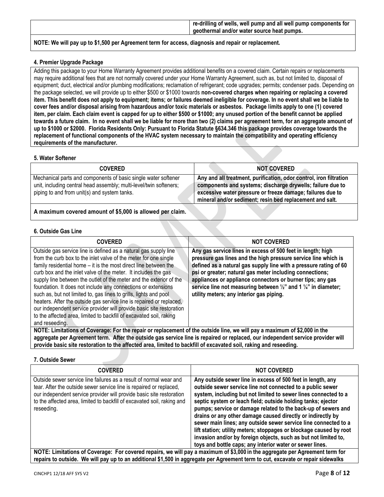|                                                                                                     | re-drilling of wells, well pump and all well pump components for<br>geothermal and/or water source heat pumps. |
|-----------------------------------------------------------------------------------------------------|----------------------------------------------------------------------------------------------------------------|
| NOTE: We will pay up to \$1,500 per Agreement term for access, diagnosis and repair or replacement. |                                                                                                                |

## <span id="page-7-0"></span>**4. Premier Upgrade Package**

Adding this package to your Home Warranty Agreement provides additional benefits on a covered claim. Certain repairs or replacements may require additional fees that are not normally covered under your Home Warranty Agreement, such as, but not limited to, disposal of equipment; duct, electrical and/or plumbing modifications; reclamation of refrigerant; code upgrades; permits; condenser pads. Depending on the package selected, we will provide up to either \$500 or \$1000 towards **non-covered charges when repairing or replacing a covered item. This benefit does not apply to equipment; items; or failures deemed ineligible for coverage. In no event shall we be liable to cover fees and/or disposal arising from hazardous and/or toxic materials or asbestos. Package limits apply to one (1) covered item, per claim. Each claim event is capped for up to either \$500 or \$1000; any unused portion of the benefit cannot be applied towards a future claim. In no event shall we be liable for more than two (2) claims per agreement term, for an aggregate amount of up to \$1000 or \$2000. Florida Residents Only: Pursuant to Florida Statute §634.346 this package provides coverage towards the replacement of functional components of the HVAC system necessary to maintain the compatibility and operating efficiency requirements of the manufacturer.**

#### <span id="page-7-1"></span>**5. Water Softener**

| <b>COVERED</b>                                                                                                                                                                       | <b>NOT COVERED</b>                                                                                                                                                                                                                                         |
|--------------------------------------------------------------------------------------------------------------------------------------------------------------------------------------|------------------------------------------------------------------------------------------------------------------------------------------------------------------------------------------------------------------------------------------------------------|
| Mechanical parts and components of basic single water softener<br>unit, including central head assembly; multi-level/twin softeners;<br>piping to and from unit(s) and system tanks. | Any and all treatment, purification, odor control, iron filtration<br>components and systems; discharge drywells; failure due to<br>excessive water pressure or freeze damage; failures due to<br>mineral and/or sediment; resin bed replacement and salt. |
| A maximum covered amount of \$5,000 is allowed per claim.                                                                                                                            |                                                                                                                                                                                                                                                            |

## <span id="page-7-2"></span>**6. Outside Gas Line**

| <b>COVERED</b>                                                                                                                                                                                                                                                                                                                                                                                                                                                                                                                                                                                                                                                                                                                   | <b>NOT COVERED</b>                                                                                                                                                                                                                                                                                                                                                                                                                                                |
|----------------------------------------------------------------------------------------------------------------------------------------------------------------------------------------------------------------------------------------------------------------------------------------------------------------------------------------------------------------------------------------------------------------------------------------------------------------------------------------------------------------------------------------------------------------------------------------------------------------------------------------------------------------------------------------------------------------------------------|-------------------------------------------------------------------------------------------------------------------------------------------------------------------------------------------------------------------------------------------------------------------------------------------------------------------------------------------------------------------------------------------------------------------------------------------------------------------|
| Outside gas service line is defined as a natural gas supply line<br>from the curb box to the inlet valve of the meter for one single<br>family residential home – it is the most direct line between the<br>curb box and the inlet valve of the meter. It includes the gas<br>supply line between the outlet of the meter and the exterior of the<br>foundation. It does not include any connections or extensions<br>such as, but not limited to, gas lines to grills, lights and pool<br>heaters. After the outside gas service line is repaired or replaced.<br>our independent service provider will provide basic site restoration<br>to the affected area, limited to backfill of excavated soil, raking<br>and reseeding. | Any gas service lines in excess of 500 feet in length; high<br>pressure gas lines and the high pressure service line which is<br>defined as a natural gas supply line with a pressure rating of 60<br>psi or greater; natural gas meter including connections;<br>appliances or appliance connectors or burner tips; any gas<br>service line not measuring between $\frac{1}{2}$ " and 1 $\frac{1}{4}$ " in diameter;<br>utility meters; any interior gas piping. |
| NOTE: Limitations of Coverage: For the repair or replacement of the outside line, we will pay a maximum of \$2,000 in the                                                                                                                                                                                                                                                                                                                                                                                                                                                                                                                                                                                                        |                                                                                                                                                                                                                                                                                                                                                                                                                                                                   |
| aggregate per Agreement term. After the outside gas service line is repaired or replaced, our independent service provider will<br>provide basic site restoration to the affected area, limited to backfill of excavated soil, raking and reseeding.                                                                                                                                                                                                                                                                                                                                                                                                                                                                             |                                                                                                                                                                                                                                                                                                                                                                                                                                                                   |

#### <span id="page-7-3"></span>**7. Outside Sewer**

| <b>COVERED</b>                                                                                                                                                                                                                                                                                             | <b>NOT COVERED</b>                                                                                                                                                                                                                                                                                                                                                                                                                                                                                                                                                                                                                                                   |
|------------------------------------------------------------------------------------------------------------------------------------------------------------------------------------------------------------------------------------------------------------------------------------------------------------|----------------------------------------------------------------------------------------------------------------------------------------------------------------------------------------------------------------------------------------------------------------------------------------------------------------------------------------------------------------------------------------------------------------------------------------------------------------------------------------------------------------------------------------------------------------------------------------------------------------------------------------------------------------------|
| Outside sewer service line failures as a result of normal wear and<br>tear. After the outside sewer service line is repaired or replaced,<br>our independent service provider will provide basic site restoration<br>to the affected area, limited to backfill of excavated soil, raking and<br>reseeding. | Any outside sewer line in excess of 500 feet in length, any<br>outside sewer service line not connected to a public sewer<br>system, including but not limited to sewer lines connected to a<br>septic system or leach field; outside holding tanks; ejector<br>pumps; service or damage related to the back-up of sewers and<br>drains or any other damage caused directly or indirectly by<br>sewer main lines; any outside sewer service line connected to a<br>lift station; utility meters; stoppages or blockage caused by root<br>invasion and/or by foreign objects, such as but not limited to,<br>toys and bottle caps; any interior water or sewer lines. |
| NOTE: Limitations of Coverage: For covered repairs, we will pay a maximum of \$3,000 in the aggregate per Agreement term for                                                                                                                                                                               |                                                                                                                                                                                                                                                                                                                                                                                                                                                                                                                                                                                                                                                                      |

**repairs to outside. We will pay up to an additional \$1,500 in aggregate per Agreement term to cut, excavate or repair sidewalks**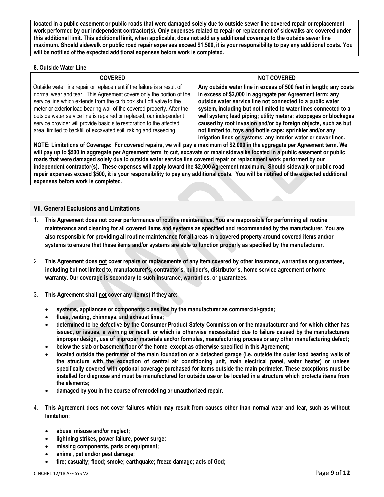**located in a public easement or public roads that were damaged solely due to outside sewer line covered repair or replacement work performed by our independent contractor(s). Only expenses related to repair or replacement of sidewalks are covered under this additional limit. This additional limit, when applicable, does not add any additional coverage to the outside sewer line maximum. Should sidewalk or public road repair expenses exceed \$1,500, it is your responsibility to pay any additional costs. You will be notified of the expected additional expenses before work is completed.**

## <span id="page-8-0"></span>**8. Outside Water Line**

| <b>COVERED</b>                                                                                                                                                                                                                                                                                                                                                                                                                                                                                                     | <b>NOT COVERED</b>                                                                                                                                                                                                                                                                                                                                                                                                                                                                                                                     |
|--------------------------------------------------------------------------------------------------------------------------------------------------------------------------------------------------------------------------------------------------------------------------------------------------------------------------------------------------------------------------------------------------------------------------------------------------------------------------------------------------------------------|----------------------------------------------------------------------------------------------------------------------------------------------------------------------------------------------------------------------------------------------------------------------------------------------------------------------------------------------------------------------------------------------------------------------------------------------------------------------------------------------------------------------------------------|
| Outside water line repair or replacement if the failure is a result of<br>normal wear and tear. This Agreement covers only the portion of the<br>service line which extends from the curb box shut off valve to the<br>meter or exterior load bearing wall of the covered property. After the<br>outside water service line is repaired or replaced, our independent<br>service provider will provide basic site restoration to the affected<br>area, limited to backfill of excavated soil, raking and reseeding. | Any outside water line in excess of 500 feet in length; any costs<br>in excess of \$2,000 in aggregate per Agreement term; any<br>outside water service line not connected to a public water<br>system, including but not limited to water lines connected to a<br>well system; lead piping; utility meters; stoppages or blockages<br>caused by root invasion and/or by foreign objects, such as but<br>not limited to, toys and bottle caps; sprinkler and/or any<br>irrigation lines or systems; any interior water or sewer lines. |
| NOTE: Unitational Commonstructurers and service and services of the MAN in the common configurations of Common                                                                                                                                                                                                                                                                                                                                                                                                     |                                                                                                                                                                                                                                                                                                                                                                                                                                                                                                                                        |

**NOTE: Limitations of Coverage: For covered repairs, we will pay a maximum of \$2,000 in the aggregate per Agreement term. We will pay up to \$500 in aggregate per Agreement term to cut, excavate or repair sidewalks located in a public easement or public roads that were damaged solely due to outside water service line covered repair or replacement work performed by our independent contractor(s). These expenses will apply toward the \$2,000Agreement maximum. Should sidewalk or public road repair expenses exceed \$500, it is your responsibility to pay any additional costs. You will be notified of the expected additional expenses before work is completed.**

## <span id="page-8-1"></span>**VII. General Exclusions and Limitations**

- 1. **This Agreement does not cover performance of routine maintenance. You are responsible for performing all routine maintenance and cleaning for all covered items and systems as specified and recommended by the manufacturer. You are also responsible for providing all routine maintenance for all areas in a covered property around covered items and/or systems to ensure that these items and/or systems are able to function properly as specified by the manufacturer.**
- 2. **This Agreement does not cover repairs or replacements of any item covered by other insurance, warranties or guarantees, including but not limited to, manufacturer's, contractor's, builder's, distributor's, home service agreement or home warranty. Our coverage is secondary to such insurance, warranties, or guarantees.**
- 3. **This Agreement shall not cover any item(s) if they are:** 
	- **systems, appliances or components classified by the manufacturer as commercial-grade;**
	- **flues, venting, chimneys, and exhaust lines;**
	- **determined to be defective by the Consumer Product Safety Commission or the manufacturer and for which either has issued, or issues, a warning or recall, or which is otherwise necessitated due to failure caused by the manufacturers improper design, use of improper materials and/or formulas, manufacturing process or any other manufacturing defect;**
	- **below the slab or basement floor of the home; except as otherwise specified in this Agreement;**
	- **located outside the perimeter of the main foundation or a detached garage (i.e. outside the outer load bearing walls of the structure with the exception of central air conditioning unit, main electrical panel, water heater) or unless specifically covered with optional coverage purchased for items outside the main perimeter. These exceptions must be installed for diagnose and must be manufactured for outside use or be located in a structure which protects items from the elements;**
	- **damaged by you in the course of remodeling or unauthorized repair.**
- 4. **This Agreement does not cover failures which may result from causes other than normal wear and tear, such as without limitation:** 
	- **abuse, misuse and/or neglect;**
	- **lightning strikes, power failure, power surge;**
	- **missing components, parts or equipment;**
	- **animal, pet and/or pest damage;**
	- **fire; casualty; flood; smoke; earthquake; freeze damage; acts of God;**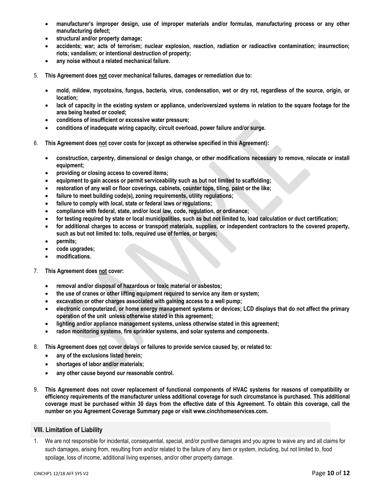- **manufacturer's improper design, use of improper materials and/or formulas, manufacturing process or any other manufacturing defect;**
- **structural and/or property damage;**
- **accidents; war; acts of terrorism; nuclear explosion, reaction, radiation or radioactive contamination; insurrection; riots; vandalism; or intentional destruction of property;**
- **any noise without a related mechanical failure.**
- 5. **This Agreement does not cover mechanical failures, damages or remediation due to:**
	- **mold, mildew, mycotoxins, fungus, bacteria, virus, condensation, wet or dry rot, regardless of the source, origin, or location;**
	- **lack of capacity in the existing system or appliance, under/oversized systems in relation to the square footage for the area being heated or cooled;**
	- **conditions of insufficient or excessive water pressure;**
	- **conditions of inadequate wiring capacity, circuit overload, power failure and/or surge.**
- 6. **This Agreement does not cover costs for (except as otherwise specified in this Agreement):**
	- **construction, carpentry, dimensional or design change, or other modifications necessary to remove, relocate or install equipment;**
	- **providing or closing access to covered items;**
	- **equipment to gain access or permit serviceability such as but not limited to scaffolding;**
	- **restoration of any wall or floor coverings, cabinets, counter tops, tiling, paint or the like;**
	- **failure to meet building code(s), zoning requirements, utility regulations;**
	- **failure to comply with local, state or federal laws or regulations;**
	- **compliance with federal, state, and/or local law, code, regulation, or ordinance;**
	- **for testing required by state or local municipalities, such as but not limited to, load calculation or duct certification;**
	- **for additional charges to access or transport materials, supplies, or independent contractors to the covered property, such as but not limited to: tolls, required use of ferries, or barges;**
	- **permits;**
	- **code upgrades;**
	- **modifications.**
- 7. **This Agreement does not cover:** 
	- **removal and/or disposal of hazardous or toxic material or asbestos;**
	- **the use of cranes or other lifting equipment required to service any item or system;**
	- **excavation or other charges associated with gaining access to a well pump;**
	- **electronic computerized, or home energy management systems or devices; LCD displays that do not affect the primary operation of the unit unless otherwise stated in this agreement;**
	- **lighting and/or appliance management systems, unless otherwise stated in this agreement;**
	- **radon monitoring systems, fire sprinkler systems, and solar systems and components.**
- 8. **This Agreement does not cover delays or failures to provide service caused by, or related to:**
	- **any of the exclusions listed herein;**
	- **shortages of labor and/or materials;**
	- **any other cause beyond our reasonable control.**
- 9. **This Agreement does not cover replacement of functional components of HVAC systems for reasons of compatibility or efficiency requirements of the manufacturer unless additional coverage for such circumstance is purchased. This additional coverage must be purchased within 30 days from the effective date of this Agreement. To obtain this coverage, call the number on you Agreement Coverage Summary page or visit www.cinchhomeservices.com.**

## <span id="page-9-0"></span>**VIII. Limitation of Liability**

1. We are not responsible for incidental, consequential, special, and/or punitive damages and you agree to waive any and all claims for such damages, arising from, resulting from and/or related to the failure of any item or system, including, but not limited to, food spoilage, loss of income, additional living expenses, and/or other property damage.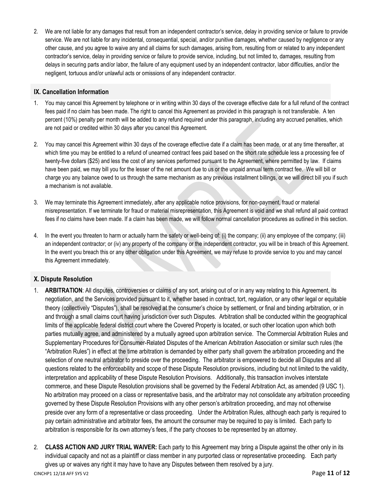2. We are not liable for any damages that result from an independent contractor's service, delay in providing service or failure to provide service. We are not liable for any incidental, consequential, special, and/or punitive damages, whether caused by negligence or any other cause, and you agree to waive any and all claims for such damages, arising from, resulting from or related to any independent contractor's service, delay in providing service or failure to provide service, including, but not limited to, damages, resulting from delays in securing parts and/or labor, the failure of any equipment used by an independent contractor, labor difficulties, and/or the negligent, tortuous and/or unlawful acts or omissions of any independent contractor.

## <span id="page-10-0"></span>**IX. Cancellation Information**

- 1. You may cancel this Agreement by telephone or in writing within 30 days of the coverage effective date for a full refund of the contract fees paid if no claim has been made. The right to cancel this Agreement as provided in this paragraph is not transferable. A ten percent (10%) penalty per month will be added to any refund required under this paragraph, including any accrued penalties, which are not paid or credited within 30 days after you cancel this Agreement.
- 2. You may cancel this Agreement within 30 days of the coverage effective date if a claim has been made, or at any time thereafter, at which time you may be entitled to a refund of unearned contract fees paid based on the short rate schedule less a processing fee of twenty-five dollars (\$25) and less the cost of any services performed pursuant to the Agreement, where permitted by law. If claims have been paid, we may bill you for the lesser of the net amount due to us or the unpaid annual term contract fee. We will bill or charge you any balance owed to us through the same mechanism as any previous installment billings, or we will direct bill you if such a mechanism is not available.
- 3. We may terminate this Agreement immediately, after any applicable notice provisions, for non-payment, fraud or material misrepresentation. If we terminate for fraud or material misrepresentation, this Agreement is void and we shall refund all paid contract fees if no claims have been made. If a claim has been made, we will follow normal cancellation procedures as outlined in this section.
- 4. In the event you threaten to harm or actually harm the safety or well-being of: (i) the company; (ii) any employee of the company; (iii) an independent contractor; or (iv) any property of the company or the independent contractor, you will be in breach of this Agreement. In the event you breach this or any other obligation under this Agreement, we may refuse to provide service to you and may cancel this Agreement immediately.

## <span id="page-10-1"></span>**X. Dispute Resolution**

- 1. **ARBITRATION**: All disputes, controversies or claims of any sort, arising out of or in any way relating to this Agreement, its negotiation, and the Services provided pursuant to it, whether based in contract, tort, regulation, or any other legal or equitable theory (collectively "Disputes"), shall be resolved at the consumer's choice by settlement, or final and binding arbitration, or in and through a small claims court having jurisdiction over such Disputes. Arbitration shall be conducted within the geographical limits of the applicable federal district court where the Covered Property is located, or such other location upon which both parties mutually agree, and administered by a mutually agreed upon arbitration service. The Commercial Arbitration Rules and Supplementary Procedures for Consumer-Related Disputes of the American Arbitration Association or similar such rules (the "Arbitration Rules") in effect at the time arbitration is demanded by either party shall govern the arbitration proceeding and the selection of one neutral arbitrator to preside over the proceeding. The arbitrator is empowered to decide all Disputes and all questions related to the enforceability and scope of these Dispute Resolution provisions, including but not limited to the validity, interpretation and applicability of these Dispute Resolution Provisions. Additionally, this transaction involves interstate commerce, and these Dispute Resolution provisions shall be governed by the Federal Arbitration Act, as amended (9 USC 1). No arbitration may proceed on a class or representative basis, and the arbitrator may not consolidate any arbitration proceeding governed by these Dispute Resolution Provisions with any other person's arbitration proceeding, and may not otherwise preside over any form of a representative or class proceeding. Under the Arbitration Rules, although each party is required to pay certain administrative and arbitrator fees, the amount the consumer may be required to pay is limited. Each party to arbitration is responsible for its own attorney's fees, if the party chooses to be represented by an attorney.
- CINCHP1 12/18 AFF SYS V2 Page **11** of **12** 2. **CLASS ACTION AND JURY TRIAL WAIVER:** Each party to this Agreement may bring a Dispute against the other only in its individual capacity and not as a plaintiff or class member in any purported class or representative proceeding. Each party gives up or waives any right it may have to have any Disputes between them resolved by a jury.